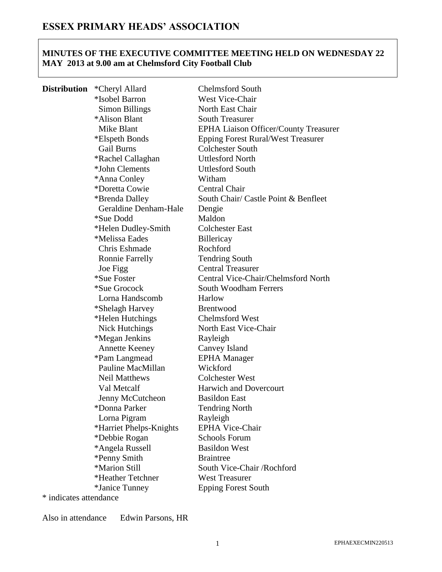# **MINUTES OF THE EXECUTIVE COMMITTEE MEETING HELD ON WEDNESDAY 22 MAY 2013 at 9.00 am at Chelmsford City Football Club**

| <b>Distribution</b> | *Cheryl Allard          | <b>Chelmsford South</b>                      |
|---------------------|-------------------------|----------------------------------------------|
|                     | *Isobel Barron          | West Vice-Chair                              |
|                     | <b>Simon Billings</b>   | North East Chair                             |
|                     | *Alison Blant           | <b>South Treasurer</b>                       |
|                     | Mike Blant              | <b>EPHA Liaison Officer/County Treasurer</b> |
|                     | *Elspeth Bonds          | <b>Epping Forest Rural/West Treasurer</b>    |
|                     | <b>Gail Burns</b>       | <b>Colchester South</b>                      |
|                     | *Rachel Callaghan       | <b>Uttlesford North</b>                      |
|                     | *John Clements          | <b>Uttlesford South</b>                      |
|                     | *Anna Conley            | Witham                                       |
|                     | *Doretta Cowie          | <b>Central Chair</b>                         |
|                     | *Brenda Dalley          | South Chair/ Castle Point & Benfleet         |
|                     | Geraldine Denham-Hale   | Dengie                                       |
|                     | <i>*Sue Dodd</i>        | Maldon                                       |
|                     | *Helen Dudley-Smith     | <b>Colchester East</b>                       |
|                     | *Melissa Eades          | Billericay                                   |
|                     | Chris Eshmade           | Rochford                                     |
|                     | <b>Ronnie Farrelly</b>  | <b>Tendring South</b>                        |
|                     | Joe Figg                | <b>Central Treasurer</b>                     |
|                     | *Sue Foster             | Central Vice-Chair/Chelmsford North          |
|                     | *Sue Grocock            | <b>South Woodham Ferrers</b>                 |
|                     | Lorna Handscomb         | Harlow                                       |
|                     | *Shelagh Harvey         | <b>Brentwood</b>                             |
|                     | *Helen Hutchings        | <b>Chelmsford West</b>                       |
|                     | Nick Hutchings          | North East Vice-Chair                        |
|                     | *Megan Jenkins          | Rayleigh                                     |
|                     | <b>Annette Keeney</b>   | Canvey Island                                |
|                     | *Pam Langmead           | <b>EPHA</b> Manager                          |
|                     | Pauline MacMillan       | Wickford                                     |
|                     | <b>Neil Matthews</b>    | <b>Colchester West</b>                       |
|                     | Val Metcalf             | <b>Harwich and Dovercourt</b>                |
|                     | Jenny McCutcheon        | <b>Basildon East</b>                         |
|                     | *Donna Parker           | <b>Tendring North</b>                        |
|                     | Lorna Pigram            | Rayleigh                                     |
|                     | *Harriet Phelps-Knights | <b>EPHA Vice-Chair</b>                       |
|                     | *Debbie Rogan           | <b>Schools Forum</b>                         |
|                     | *Angela Russell         | <b>Basildon West</b>                         |
|                     | *Penny Smith            | <b>Braintree</b>                             |
|                     | *Marion Still           | South Vice-Chair /Rochford                   |
|                     | *Heather Tetchner       | <b>West Treasurer</b>                        |
|                     | *Janice Tunney          | <b>Epping Forest South</b>                   |

\* indicates attendance

Also in attendance Edwin Parsons, HR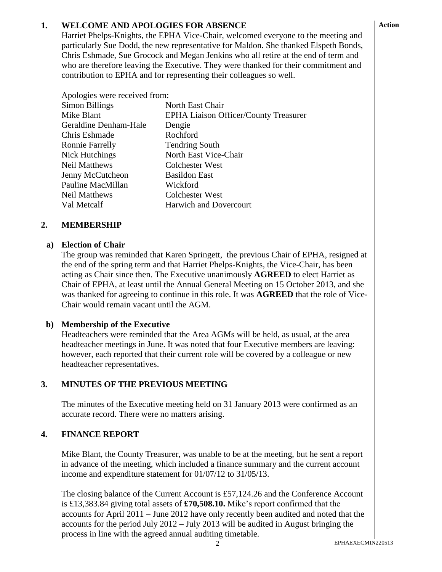# **1. WELCOME AND APOLOGIES FOR ABSENCE**

Harriet Phelps-Knights, the EPHA Vice-Chair, welcomed everyone to the meeting and particularly Sue Dodd, the new representative for Maldon. She thanked Elspeth Bonds, Chris Eshmade, Sue Grocock and Megan Jenkins who all retire at the end of term and who are therefore leaving the Executive. They were thanked for their commitment and contribution to EPHA and for representing their colleagues so well.

| Apologies were received from: |                                              |  |
|-------------------------------|----------------------------------------------|--|
| Simon Billings                | North East Chair                             |  |
| Mike Blant                    | <b>EPHA Liaison Officer/County Treasurer</b> |  |
| Geraldine Denham-Hale         | Dengie                                       |  |
| Chris Eshmade                 | Rochford                                     |  |
| <b>Ronnie Farrelly</b>        | <b>Tendring South</b>                        |  |
| Nick Hutchings                | North East Vice-Chair                        |  |
| <b>Neil Matthews</b>          | Colchester West                              |  |
| Jenny McCutcheon              | <b>Basildon East</b>                         |  |
| Pauline MacMillan             | Wickford                                     |  |
| Neil Matthews                 | Colchester West                              |  |
| Val Metcalf                   | <b>Harwich and Dovercourt</b>                |  |

#### **2. MEMBERSHIP**

### **a) Election of Chair**

The group was reminded that Karen Springett, the previous Chair of EPHA, resigned at the end of the spring term and that Harriet Phelps-Knights, the Vice-Chair, has been acting as Chair since then. The Executive unanimously **AGREED** to elect Harriet as Chair of EPHA, at least until the Annual General Meeting on 15 October 2013, and she was thanked for agreeing to continue in this role. It was **AGREED** that the role of Vice-Chair would remain vacant until the AGM.

### **b) Membership of the Executive**

Headteachers were reminded that the Area AGMs will be held, as usual, at the area headteacher meetings in June. It was noted that four Executive members are leaving: however, each reported that their current role will be covered by a colleague or new headteacher representatives.

# **3. MINUTES OF THE PREVIOUS MEETING**

The minutes of the Executive meeting held on 31 January 2013 were confirmed as an accurate record. There were no matters arising.

### **4. FINANCE REPORT**

Mike Blant, the County Treasurer, was unable to be at the meeting, but he sent a report in advance of the meeting, which included a finance summary and the current account income and expenditure statement for 01/07/12 to 31/05/13.

The closing balance of the Current Account is £57,124.26 and the Conference Account is £13,383.84 giving total assets of **£70,508.10.** Mike's report confirmed that the accounts for April 2011 – June 2012 have only recently been audited and noted that the accounts for the period July 2012 – July 2013 will be audited in August bringing the process in line with the agreed annual auditing timetable.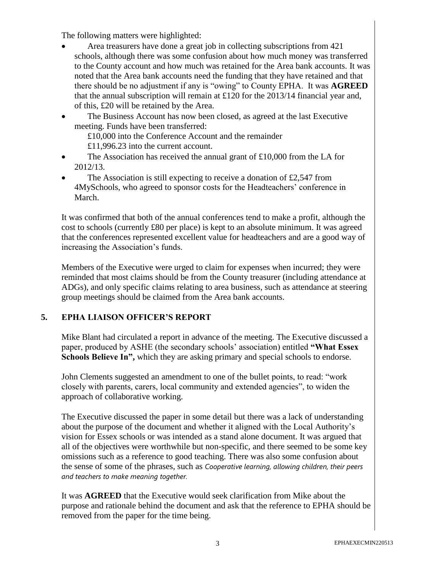The following matters were highlighted:

- Area treasurers have done a great job in collecting subscriptions from 421 schools, although there was some confusion about how much money was transferred to the County account and how much was retained for the Area bank accounts. It was noted that the Area bank accounts need the funding that they have retained and that there should be no adjustment if any is "owing" to County EPHA. It was **AGREED** that the annual subscription will remain at £120 for the 2013/14 financial year and, of this, £20 will be retained by the Area.
- The Business Account has now been closed, as agreed at the last Executive meeting. Funds have been transferred:
	- £10,000 into the Conference Account and the remainder £11,996.23 into the current account.
- The Association has received the annual grant of £10,000 from the LA for 2012/13.
- The Association is still expecting to receive a donation of £2,547 from 4MySchools, who agreed to sponsor costs for the Headteachers' conference in March.

It was confirmed that both of the annual conferences tend to make a profit, although the cost to schools (currently £80 per place) is kept to an absolute minimum. It was agreed that the conferences represented excellent value for headteachers and are a good way of increasing the Association's funds.

Members of the Executive were urged to claim for expenses when incurred; they were reminded that most claims should be from the County treasurer (including attendance at ADGs), and only specific claims relating to area business, such as attendance at steering group meetings should be claimed from the Area bank accounts.

# **5. EPHA LIAISON OFFICER'S REPORT**

Mike Blant had circulated a report in advance of the meeting. The Executive discussed a paper, produced by ASHE (the secondary schools' association) entitled **"What Essex Schools Believe In",** which they are asking primary and special schools to endorse.

John Clements suggested an amendment to one of the bullet points, to read: "work closely with parents, carers, local community and extended agencies", to widen the approach of collaborative working.

The Executive discussed the paper in some detail but there was a lack of understanding about the purpose of the document and whether it aligned with the Local Authority's vision for Essex schools or was intended as a stand alone document. It was argued that all of the objectives were worthwhile but non-specific, and there seemed to be some key omissions such as a reference to good teaching. There was also some confusion about the sense of some of the phrases, such as *Cooperative learning, allowing children, their peers and teachers to make meaning together.*

It was **AGREED** that the Executive would seek clarification from Mike about the purpose and rationale behind the document and ask that the reference to EPHA should be removed from the paper for the time being.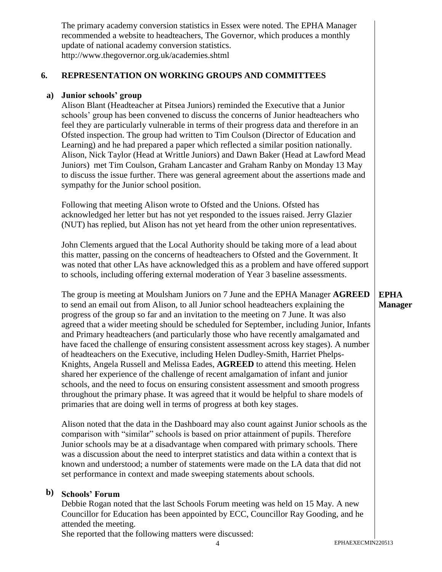The primary academy conversion statistics in Essex were noted. The EPHA Manager recommended a website to headteachers, The Governor, which produces a monthly update of national academy conversion statistics. http://www.thegovernor.org.uk/academies.shtml

#### **6. REPRESENTATION ON WORKING GROUPS AND COMMITTEES**

### **a) Junior schools' group**

Alison Blant (Headteacher at Pitsea Juniors) reminded the Executive that a Junior schools' group has been convened to discuss the concerns of Junior headteachers who feel they are particularly vulnerable in terms of their progress data and therefore in an Ofsted inspection. The group had written to Tim Coulson (Director of Education and Learning) and he had prepared a paper which reflected a similar position nationally. Alison, Nick Taylor (Head at Writtle Juniors) and Dawn Baker (Head at Lawford Mead Juniors) met Tim Coulson, Graham Lancaster and Graham Ranby on Monday 13 May to discuss the issue further. There was general agreement about the assertions made and sympathy for the Junior school position.

Following that meeting Alison wrote to Ofsted and the Unions. Ofsted has acknowledged her letter but has not yet responded to the issues raised. Jerry Glazier (NUT) has replied, but Alison has not yet heard from the other union representatives.

John Clements argued that the Local Authority should be taking more of a lead about this matter, passing on the concerns of headteachers to Ofsted and the Government. It was noted that other LAs have acknowledged this as a problem and have offered support to schools, including offering external moderation of Year 3 baseline assessments.

The group is meeting at Moulsham Juniors on 7 June and the EPHA Manager **AGREED** to send an email out from Alison, to all Junior school headteachers explaining the progress of the group so far and an invitation to the meeting on 7 June. It was also agreed that a wider meeting should be scheduled for September, including Junior, Infants and Primary headteachers (and particularly those who have recently amalgamated and have faced the challenge of ensuring consistent assessment across key stages). A number of headteachers on the Executive, including Helen Dudley-Smith, Harriet Phelps-Knights, Angela Russell and Melissa Eades, **AGREED** to attend this meeting. Helen shared her experience of the challenge of recent amalgamation of infant and junior schools, and the need to focus on ensuring consistent assessment and smooth progress throughout the primary phase. It was agreed that it would be helpful to share models of primaries that are doing well in terms of progress at both key stages.

Alison noted that the data in the Dashboard may also count against Junior schools as the comparison with "similar" schools is based on prior attainment of pupils. Therefore Junior schools may be at a disadvantage when compared with primary schools. There was a discussion about the need to interpret statistics and data within a context that is known and understood; a number of statements were made on the LA data that did not set performance in context and made sweeping statements about schools.

# **b) Schools' Forum**

Debbie Rogan noted that the last Schools Forum meeting was held on 15 May. A new Councillor for Education has been appointed by ECC, Councillor Ray Gooding, and he attended the meeting.

She reported that the following matters were discussed:

# **EPHA Manager**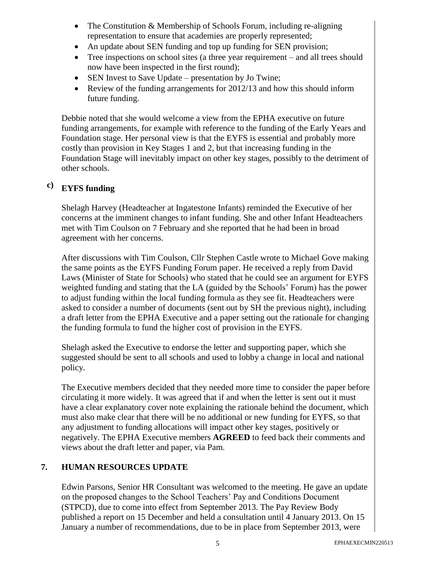- The Constitution & Membership of Schools Forum, including re-aligning representation to ensure that academies are properly represented;
- An update about SEN funding and top up funding for SEN provision;
- Tree inspections on school sites (a three year requirement and all trees should now have been inspected in the first round);
- SEN Invest to Save Update presentation by Jo Twine;
- Review of the funding arrangements for 2012/13 and how this should inform future funding.

Debbie noted that she would welcome a view from the EPHA executive on future funding arrangements, for example with reference to the funding of the Early Years and Foundation stage. Her personal view is that the EYFS is essential and probably more costly than provision in Key Stages 1 and 2, but that increasing funding in the Foundation Stage will inevitably impact on other key stages, possibly to the detriment of other schools.

#### **c) EYFS funding**

Shelagh Harvey (Headteacher at Ingatestone Infants) reminded the Executive of her concerns at the imminent changes to infant funding. She and other Infant Headteachers met with Tim Coulson on 7 February and she reported that he had been in broad agreement with her concerns.

After discussions with Tim Coulson, Cllr Stephen Castle wrote to Michael Gove making the same points as the EYFS Funding Forum paper. He received a reply from David Laws (Minister of State for Schools) who stated that he could see an argument for EYFS weighted funding and stating that the LA (guided by the Schools' Forum) has the power to adjust funding within the local funding formula as they see fit. Headteachers were asked to consider a number of documents (sent out by SH the previous night), including a draft letter from the EPHA Executive and a paper setting out the rationale for changing the funding formula to fund the higher cost of provision in the EYFS.

Shelagh asked the Executive to endorse the letter and supporting paper, which she suggested should be sent to all schools and used to lobby a change in local and national policy.

The Executive members decided that they needed more time to consider the paper before circulating it more widely. It was agreed that if and when the letter is sent out it must have a clear explanatory cover note explaining the rationale behind the document, which must also make clear that there will be no additional or new funding for EYFS, so that any adjustment to funding allocations will impact other key stages, positively or negatively. The EPHA Executive members **AGREED** to feed back their comments and views about the draft letter and paper, via Pam.

# **7. HUMAN RESOURCES UPDATE**

Edwin Parsons, Senior HR Consultant was welcomed to the meeting. He gave an update on the proposed changes to the School Teachers' Pay and Conditions Document (STPCD), due to come into effect from September 2013. The Pay Review Body published a report on 15 December and held a consultation until 4 January 2013. On 15 January a number of recommendations, due to be in place from September 2013, were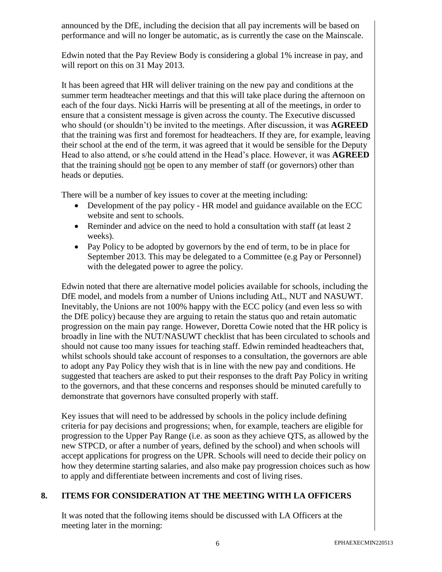announced by the DfE, including the decision that all pay increments will be based on performance and will no longer be automatic, as is currently the case on the Mainscale.

Edwin noted that the Pay Review Body is considering a global 1% increase in pay, and will report on this on 31 May 2013.

It has been agreed that HR will deliver training on the new pay and conditions at the summer term headteacher meetings and that this will take place during the afternoon on each of the four days. Nicki Harris will be presenting at all of the meetings, in order to ensure that a consistent message is given across the county. The Executive discussed who should (or shouldn't) be invited to the meetings. After discussion, it was **AGREED** that the training was first and foremost for headteachers. If they are, for example, leaving their school at the end of the term, it was agreed that it would be sensible for the Deputy Head to also attend, or s/he could attend in the Head's place. However, it was **AGREED** that the training should not be open to any member of staff (or governors) other than heads or deputies.

There will be a number of key issues to cover at the meeting including:

- Development of the pay policy HR model and guidance available on the ECC website and sent to schools.
- Reminder and advice on the need to hold a consultation with staff (at least 2) weeks).
- Pay Policy to be adopted by governors by the end of term, to be in place for September 2013. This may be delegated to a Committee (e.g Pay or Personnel) with the delegated power to agree the policy.

Edwin noted that there are alternative model policies available for schools, including the DfE model, and models from a number of Unions including AtL, NUT and NASUWT. Inevitably, the Unions are not 100% happy with the ECC policy (and even less so with the DfE policy) because they are arguing to retain the status quo and retain automatic progression on the main pay range. However, Doretta Cowie noted that the HR policy is broadly in line with the NUT/NASUWT checklist that has been circulated to schools and should not cause too many issues for teaching staff. Edwin reminded headteachers that, whilst schools should take account of responses to a consultation, the governors are able to adopt any Pay Policy they wish that is in line with the new pay and conditions. He suggested that teachers are asked to put their responses to the draft Pay Policy in writing to the governors, and that these concerns and responses should be minuted carefully to demonstrate that governors have consulted properly with staff.

Key issues that will need to be addressed by schools in the policy include defining criteria for pay decisions and progressions; when, for example, teachers are eligible for progression to the Upper Pay Range (i.e. as soon as they achieve QTS, as allowed by the new STPCD, or after a number of years, defined by the school) and when schools will accept applications for progress on the UPR. Schools will need to decide their policy on how they determine starting salaries, and also make pay progression choices such as how to apply and differentiate between increments and cost of living rises.

# **8. ITEMS FOR CONSIDERATION AT THE MEETING WITH LA OFFICERS**

It was noted that the following items should be discussed with LA Officers at the meeting later in the morning: